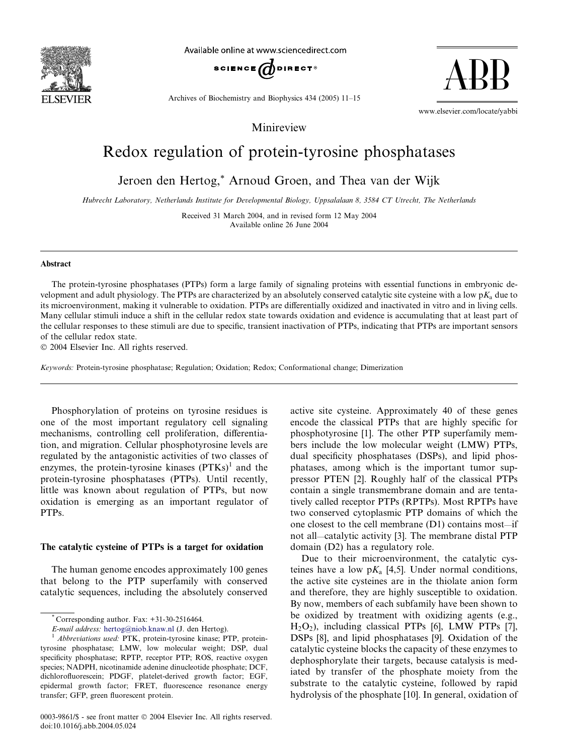

Available online at www.sciencedirect.com



Archives of Biochemistry and Biophysics 434 (2005) 11–15

www.elsevier.com/locate/yabbi

ABB

# Minireview

# Redox regulation of protein-tyrosine phosphatases

Jeroen den Hertog,\* Arnoud Groen, and Thea van der Wijk

Hubrecht Laboratory, Netherlands Institute for Developmental Biology, Uppsalalaan 8, 3584 CT Utrecht, The Netherlands

Received 31 March 2004, and in revised form 12 May 2004 Available online 26 June 2004

#### Abstract

The protein-tyrosine phosphatases (PTPs) form a large family of signaling proteins with essential functions in embryonic development and adult physiology. The PTPs are characterized by an absolutely conserved catalytic site cysteine with a low  $pK_a$  due to its microenvironment, making it vulnerable to oxidation. PTPs are differentially oxidized and inactivated in vitro and in living cells. Many cellular stimuli induce a shift in the cellular redox state towards oxidation and evidence is accumulating that at least part of the cellular responses to these stimuli are due to specific, transient inactivation of PTPs, indicating that PTPs are important sensors of the cellular redox state.

2004 Elsevier Inc. All rights reserved.

Keywords: Protein-tyrosine phosphatase; Regulation; Oxidation; Redox; Conformational change; Dimerization

Phosphorylation of proteins on tyrosine residues is one of the most important regulatory cell signaling mechanisms, controlling cell proliferation, differentiation, and migration. Cellular phosphotyrosine levels are regulated by the antagonistic activities of two classes of enzymes, the protein-tyrosine kinases  $(PTKs)^{1}$  and the protein-tyrosine phosphatases (PTPs). Until recently, little was known about regulation of PTPs, but now oxidation is emerging as an important regulator of PTPs.

# The catalytic cysteine of PTPs is a target for oxidation

The human genome encodes approximately 100 genes that belong to the PTP superfamily with conserved catalytic sequences, including the absolutely conserved

active site cysteine. Approximately 40 of these genes encode the classical PTPs that are highly specific for phosphotyrosine [1]. The other PTP superfamily members include the low molecular weight (LMW) PTPs, dual specificity phosphatases (DSPs), and lipid phosphatases, among which is the important tumor suppressor PTEN [2]. Roughly half of the classical PTPs contain a single transmembrane domain and are tentatively called receptor PTPs (RPTPs). Most RPTPs have two conserved cytoplasmic PTP domains of which the one closest to the cell membrane (D1) contains most—if not all—catalytic activity [3]. The membrane distal PTP domain (D2) has a regulatory role.

Due to their microenvironment, the catalytic cysteines have a low  $pK_a$  [4,5]. Under normal conditions, the active site cysteines are in the thiolate anion form and therefore, they are highly susceptible to oxidation. By now, members of each subfamily have been shown to be oxidized by treatment with oxidizing agents (e.g.,  $H_2O_2$ ), including classical PTPs [6], LMW PTPs [7], DSPs [8], and lipid phosphatases [9]. Oxidation of the catalytic cysteine blocks the capacity of these enzymes to dephosphorylate their targets, because catalysis is mediated by transfer of the phosphate moiety from the substrate to the catalytic cysteine, followed by rapid hydrolysis of the phosphate [10]. In general, oxidation of

Corresponding author. Fax: +31-30-2516464.

E-mail address: [hertog@niob.knaw.nl](mail to: hertog@niob.knaw.nl) (J. den Hertog).<br><sup>1</sup> Abbreviations used: PTK, protein-tyrosine kinase; PTP, proteintyrosine phosphatase; LMW, low molecular weight; DSP, dual specificity phosphatase; RPTP, receptor PTP; ROS, reactive oxygen species; NADPH, nicotinamide adenine dinucleotide phosphate; DCF, dichlorofluorescein; PDGF, platelet-derived growth factor; EGF, epidermal growth factor; FRET, fluorescence resonance energy transfer; GFP, green fluorescent protein.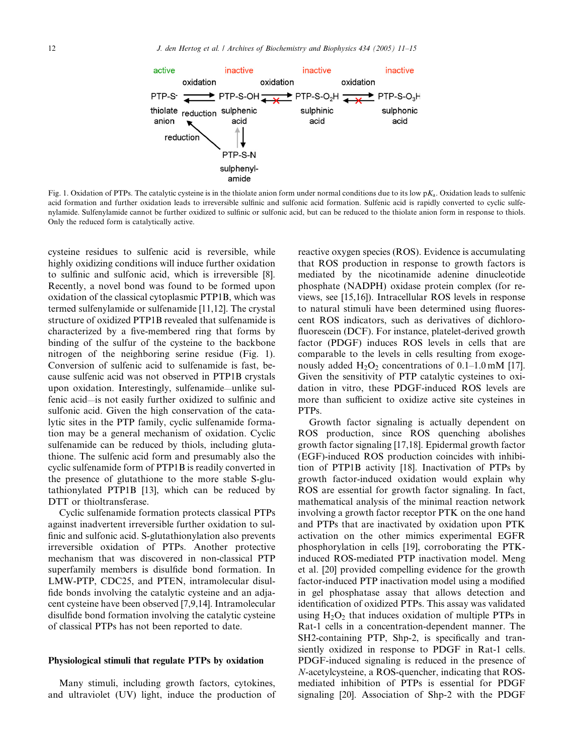

Fig. 1. Oxidation of PTPs. The catalytic cysteine is in the thiolate anion form under normal conditions due to its low  $pK_a$ . Oxidation leads to sulfenic acid formation and further oxidation leads to irreversible sulfinic and sulfonic acid formation. Sulfenic acid is rapidly converted to cyclic sulfenylamide. Sulfenylamide cannot be further oxidized to sulfinic or sulfonic acid, but can be reduced to the thiolate anion form in response to thiols. Only the reduced form is catalytically active.

cysteine residues to sulfenic acid is reversible, while highly oxidizing conditions will induce further oxidation to sulfinic and sulfonic acid, which is irreversible [8]. Recently, a novel bond was found to be formed upon oxidation of the classical cytoplasmic PTP1B, which was termed sulfenylamide or sulfenamide [11,12]. The crystal structure of oxidized PTP1B revealed that sulfenamide is characterized by a five-membered ring that forms by binding of the sulfur of the cysteine to the backbone nitrogen of the neighboring serine residue (Fig. 1). Conversion of sulfenic acid to sulfenamide is fast, because sulfenic acid was not observed in PTP1B crystals upon oxidation. Interestingly, sulfenamide—unlike sulfenic acid—is not easily further oxidized to sulfinic and sulfonic acid. Given the high conservation of the catalytic sites in the PTP family, cyclic sulfenamide formation may be a general mechanism of oxidation. Cyclic sulfenamide can be reduced by thiols, including glutathione. The sulfenic acid form and presumably also the cyclic sulfenamide form of PTP1B is readily converted in the presence of glutathione to the more stable S-glutathionylated PTP1B [13], which can be reduced by DTT or thioltransferase.

Cyclic sulfenamide formation protects classical PTPs against inadvertent irreversible further oxidation to sulfinic and sulfonic acid. S-glutathionylation also prevents irreversible oxidation of PTPs. Another protective mechanism that was discovered in non-classical PTP superfamily members is disulfide bond formation. In LMW-PTP, CDC25, and PTEN, intramolecular disulfide bonds involving the catalytic cysteine and an adjacent cysteine have been observed [7,9,14]. Intramolecular disulfide bond formation involving the catalytic cysteine of classical PTPs has not been reported to date.

#### Physiological stimuli that regulate PTPs by oxidation

Many stimuli, including growth factors, cytokines, and ultraviolet (UV) light, induce the production of reactive oxygen species (ROS). Evidence is accumulating that ROS production in response to growth factors is mediated by the nicotinamide adenine dinucleotide phosphate (NADPH) oxidase protein complex (for reviews, see [15,16]). Intracellular ROS levels in response to natural stimuli have been determined using fluorescent ROS indicators, such as derivatives of dichlorofluorescein (DCF). For instance, platelet-derived growth factor (PDGF) induces ROS levels in cells that are comparable to the levels in cells resulting from exogenously added  $H_2O_2$  concentrations of 0.1–1.0 mM [17]. Given the sensitivity of PTP catalytic cysteines to oxidation in vitro, these PDGF-induced ROS levels are more than sufficient to oxidize active site cysteines in PTPs.

Growth factor signaling is actually dependent on ROS production, since ROS quenching abolishes growth factor signaling [17,18]. Epidermal growth factor (EGF)-induced ROS production coincides with inhibition of PTP1B activity [18]. Inactivation of PTPs by growth factor-induced oxidation would explain why ROS are essential for growth factor signaling. In fact, mathematical analysis of the minimal reaction network involving a growth factor receptor PTK on the one hand and PTPs that are inactivated by oxidation upon PTK activation on the other mimics experimental EGFR phosphorylation in cells [19], corroborating the PTKinduced ROS-mediated PTP inactivation model. Meng et al. [20] provided compelling evidence for the growth factor-induced PTP inactivation model using a modified in gel phosphatase assay that allows detection and identification of oxidized PTPs. This assay was validated using  $H_2O_2$  that induces oxidation of multiple PTPs in Rat-1 cells in a concentration-dependent manner. The SH2-containing PTP, Shp-2, is specifically and transiently oxidized in response to PDGF in Rat-1 cells. PDGF-induced signaling is reduced in the presence of N-acetylcysteine, a ROS-quencher, indicating that ROSmediated inhibition of PTPs is essential for PDGF signaling [20]. Association of Shp-2 with the PDGF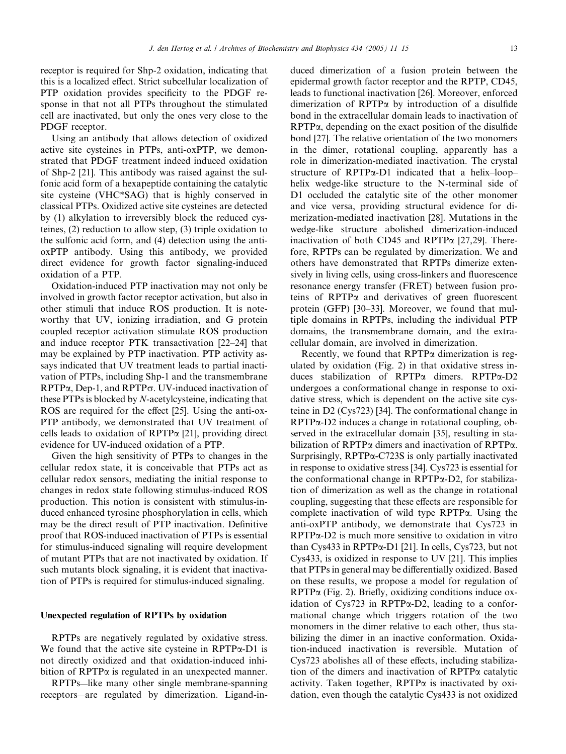receptor is required for Shp-2 oxidation, indicating that this is a localized effect. Strict subcellular localization of PTP oxidation provides specificity to the PDGF response in that not all PTPs throughout the stimulated cell are inactivated, but only the ones very close to the PDGF receptor.

Using an antibody that allows detection of oxidized active site cysteines in PTPs, anti-oxPTP, we demonstrated that PDGF treatment indeed induced oxidation of Shp-2 [21]. This antibody was raised against the sulfonic acid form of a hexapeptide containing the catalytic site cysteine (VHC\*SAG) that is highly conserved in classical PTPs. Oxidized active site cysteines are detected by (1) alkylation to irreversibly block the reduced cysteines, (2) reduction to allow step, (3) triple oxidation to the sulfonic acid form, and (4) detection using the antioxPTP antibody. Using this antibody, we provided direct evidence for growth factor signaling-induced oxidation of a PTP.

Oxidation-induced PTP inactivation may not only be involved in growth factor receptor activation, but also in other stimuli that induce ROS production. It is noteworthy that UV, ionizing irradiation, and G protein coupled receptor activation stimulate ROS production and induce receptor PTK transactivation [22–24] that may be explained by PTP inactivation. PTP activity assays indicated that UV treatment leads to partial inactivation of PTPs, including Shp-1 and the transmembrane  $RPTP\alpha$ , Dep-1, and  $RPTP\sigma$ . UV-induced inactivation of these PTPs is blocked by N-acetylcysteine, indicating that ROS are required for the effect [25]. Using the anti-ox-PTP antibody, we demonstrated that UV treatment of cells leads to oxidation of  $RPTP\alpha$  [21], providing direct evidence for UV-induced oxidation of a PTP.

Given the high sensitivity of PTPs to changes in the cellular redox state, it is conceivable that PTPs act as cellular redox sensors, mediating the initial response to changes in redox state following stimulus-induced ROS production. This notion is consistent with stimulus-induced enhanced tyrosine phosphorylation in cells, which may be the direct result of PTP inactivation. Definitive proof that ROS-induced inactivation of PTPs is essential for stimulus-induced signaling will require development of mutant PTPs that are not inactivated by oxidation. If such mutants block signaling, it is evident that inactivation of PTPs is required for stimulus-induced signaling.

# Unexpected regulation of RPTPs by oxidation

RPTPs are negatively regulated by oxidative stress. We found that the active site cysteine in  $RPTP\alpha-D1$  is not directly oxidized and that oxidation-induced inhibition of  $RPTP\alpha$  is regulated in an unexpected manner.

RPTPs—like many other single membrane-spanning receptors—are regulated by dimerization. Ligand-induced dimerization of a fusion protein between the epidermal growth factor receptor and the RPTP, CD45, leads to functional inactivation [26]. Moreover, enforced dimerization of RPTPa by introduction of a disulfide bond in the extracellular domain leads to inactivation of RPTPa, depending on the exact position of the disulfide bond [27]. The relative orientation of the two monomers in the dimer, rotational coupling, apparently has a role in dimerization-mediated inactivation. The crystal structure of RPTP $\alpha$ -D1 indicated that a helix–loop– helix wedge-like structure to the N-terminal side of D1 occluded the catalytic site of the other monomer and vice versa, providing structural evidence for dimerization-mediated inactivation [28]. Mutations in the wedge-like structure abolished dimerization-induced inactivation of both CD45 and RPTP $\alpha$  [27,29]. Therefore, RPTPs can be regulated by dimerization. We and others have demonstrated that RPTPs dimerize extensively in living cells, using cross-linkers and fluorescence resonance energy transfer (FRET) between fusion proteins of  $RPTP\alpha$  and derivatives of green fluorescent protein (GFP) [30–33]. Moreover, we found that multiple domains in RPTPs, including the individual PTP domains, the transmembrane domain, and the extracellular domain, are involved in dimerization.

Recently, we found that RPTP $\alpha$  dimerization is regulated by oxidation (Fig. 2) in that oxidative stress induces stabilization of RPTPa dimers. RPTPa-D2 undergoes a conformational change in response to oxidative stress, which is dependent on the active site cysteine in D2 (Cys723) [34]. The conformational change in RPTPa-D2 induces a change in rotational coupling, observed in the extracellular domain [35], resulting in stabilization of RPTPa dimers and inactivation of RPTPa. Surprisingly, RPTPa-C723S is only partially inactivated in response to oxidative stress [34]. Cys723 is essential for the conformational change in RPTPa-D2, for stabilization of dimerization as well as the change in rotational coupling, suggesting that these effects are responsible for complete inactivation of wild type RPTPa. Using the anti-oxPTP antibody, we demonstrate that Cys723 in  $RPTP\alpha-D2$  is much more sensitive to oxidation in vitro than Cys433 in RPTPa-D1 [21]. In cells, Cys723, but not Cys433, is oxidized in response to UV [21]. This implies that PTPs in general may be differentially oxidized. Based on these results, we propose a model for regulation of  $RPTP\alpha$  (Fig. 2). Briefly, oxidizing conditions induce oxidation of Cys723 in RPTPa-D2, leading to a conformational change which triggers rotation of the two monomers in the dimer relative to each other, thus stabilizing the dimer in an inactive conformation. Oxidation-induced inactivation is reversible. Mutation of Cys723 abolishes all of these effects, including stabilization of the dimers and inactivation of RPTPa catalytic activity. Taken together,  $RPTP\alpha$  is inactivated by oxidation, even though the catalytic Cys433 is not oxidized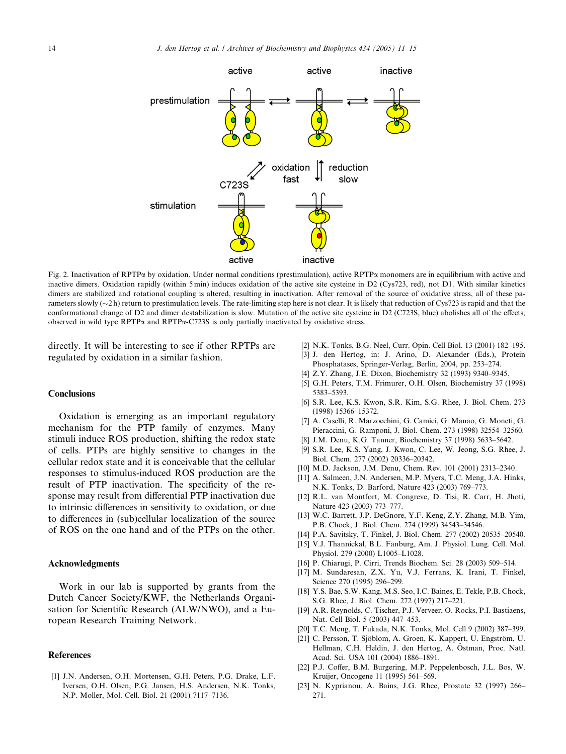

Fig. 2. Inactivation of RPTPa by oxidation. Under normal conditions (prestimulation), active RPTPa monomers are in equilibrium with active and inactive dimers. Oxidation rapidly (within 5 min) induces oxidation of the active site cysteine in D2 (Cys723, red), not D1. With similar kinetics dimers are stabilized and rotational coupling is altered, resulting in inactivation. After removal of the source of oxidative stress, all of these parameters slowly  $(\sim 2 h)$  return to prestimulation levels. The rate-limiting step here is not clear. It is likely that reduction of Cys723 is rapid and that the conformational change of D2 and dimer destabilization is slow. Mutation of the active site cysteine in D2 (C723S, blue) abolishes all of the effects, observed in wild type  $\text{RPTP}\alpha$  and  $\text{RPTP}\alpha$ -C723S is only partially inactivated by oxidative stress.

directly. It will be interesting to see if other RPTPs are regulated by oxidation in a similar fashion.

## **Conclusions**

Oxidation is emerging as an important regulatory mechanism for the PTP family of enzymes. Many stimuli induce ROS production, shifting the redox state of cells. PTPs are highly sensitive to changes in the cellular redox state and it is conceivable that the cellular responses to stimulus-induced ROS production are the result of PTP inactivation. The specificity of the response may result from differential PTP inactivation due to intrinsic differences in sensitivity to oxidation, or due to differences in (sub)cellular localization of the source of ROS on the one hand and of the PTPs on the other.

### Acknowledgments

Work in our lab is supported by grants from the Dutch Cancer Society/KWF, the Netherlands Organisation for Scientific Research (ALW/NWO), and a European Research Training Network.

#### References

[1] J.N. Andersen, O.H. Mortensen, G.H. Peters, P.G. Drake, L.F. Iversen, O.H. Olsen, P.G. Jansen, H.S. Andersen, N.K. Tonks, N.P. Moller, Mol. Cell. Biol. 21 (2001) 7117–7136.

- [2] N.K. Tonks, B.G. Neel, Curr. Opin. Cell Biol. 13 (2001) 182–195. [3] J. den Hertog, in: J. Arino, D. Alexander (Eds.), Protein Phosphatases, Springer-Verlag, Berlin, 2004, pp. 253–274.
- [4] Z.Y. Zhang, J.E. Dixon, Biochemistry 32 (1993) 9340–9345.
- [5] G.H. Peters, T.M. Frimurer, O.H. Olsen, Biochemistry 37 (1998) 5383–5393.
- [6] S.R. Lee, K.S. Kwon, S.R. Kim, S.G. Rhee, J. Biol. Chem. 273 (1998) 15366–15372.
- [7] A. Caselli, R. Marzocchini, G. Camici, G. Manao, G. Moneti, G. Pieraccini, G. Ramponi, J. Biol. Chem. 273 (1998) 32554–32560.
- [8] J.M. Denu, K.G. Tanner, Biochemistry 37 (1998) 5633–5642.
- [9] S.R. Lee, K.S. Yang, J. Kwon, C. Lee, W. Jeong, S.G. Rhee, J. Biol. Chem. 277 (2002) 20336–20342.
- [10] M.D. Jackson, J.M. Denu, Chem. Rev. 101 (2001) 2313-2340.
- [11] A. Salmeen, J.N. Andersen, M.P. Myers, T.C. Meng, J.A. Hinks, N.K. Tonks, D. Barford, Nature 423 (2003) 769–773.
- [12] R.L. van Montfort, M. Congreve, D. Tisi, R. Carr, H. Jhoti, Nature 423 (2003) 773–777.
- [13] W.C. Barrett, J.P. DeGnore, Y.F. Keng, Z.Y. Zhang, M.B. Yim, P.B. Chock, J. Biol. Chem. 274 (1999) 34543–34546.
- [14] P.A. Savitsky, T. Finkel, J. Biol. Chem. 277 (2002) 20535–20540.
- [15] V.J. Thannickal, B.L. Fanburg, Am. J. Physiol. Lung. Cell. Mol. Physiol. 279 (2000) L1005–L1028.
- [16] P. Chiarugi, P. Cirri, Trends Biochem. Sci. 28 (2003) 509–514.
- [17] M. Sundaresan, Z.X. Yu, V.J. Ferrans, K. Irani, T. Finkel, Science 270 (1995) 296–299.
- [18] Y.S. Bae, S.W. Kang, M.S. Seo, I.C. Baines, E. Tekle, P.B. Chock, S.G. Rhee, J. Biol. Chem. 272 (1997) 217–221.
- [19] A.R. Reynolds, C. Tischer, P.J. Verveer, O. Rocks, P.I. Bastiaens, Nat. Cell Biol. 5 (2003) 447–453.
- [20] T.C. Meng, T. Fukada, N.K. Tonks, Mol. Cell 9 (2002) 387–399.
- [21] C. Persson, T. Sjöblom, A. Groen, K. Kappert, U. Engström, U. Hellman, C.H. Heldin, J. den Hertog, A. Östman, Proc. Natl. Acad. Sci. USA 101 (2004) 1886–1891.
- [22] P.J. Coffer, B.M. Burgering, M.P. Peppelenbosch, J.L. Bos, W. Kruijer, Oncogene 11 (1995) 561–569.
- [23] N. Kyprianou, A. Bains, J.G. Rhee, Prostate 32 (1997) 266– 271.